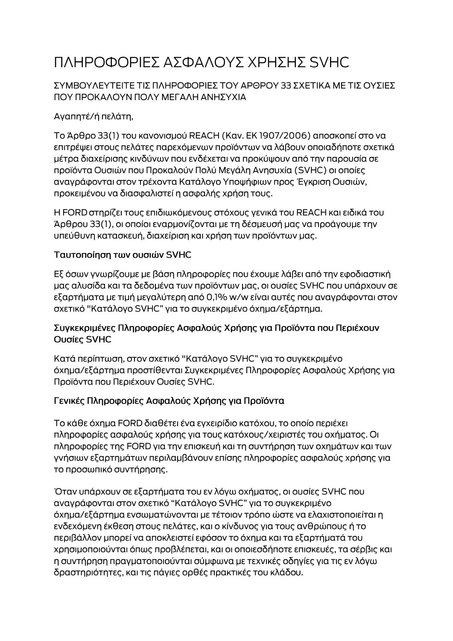# ΠΛΗΡΟΦΟΡΙΕΣ ΑΣΦΑΛΟΥΣ ΧΡΗΣΗΣ SVHC

### ΣΥΜΒΟΥΛΕΥΤΕΙΤΕ ΤΙΣ ΠΛΗΡΟΦΟΡΙΕΣ ΤΟΥ ΑΡΘΡΟΥ 33 ΣΧΕΤΙΚΑ ΜΕ ΤΙΣ ΟΥΣΙΕΣ ΠΟΥ ΠΡΟΚΑΛΟΥΝ ΠΟΛΥ ΜΕΓΑΛΗ ΑΝΗΣΥΧΙΑ

# Αγαπητέ/ή πελάτη,

Το Άρθρο 33(1) του κανονισμού REACH (Καν. ΕΚ 1907/2006) αποσκοπεί στο να επιτρέψει στους πελάτες παρεχόμενων προϊόντων να λάβουν οποιαδήποτε σχετικά μέτρα διαχείρισης κινδύνων που ενδέχεται να προκύψουν από την παρουσία σε προϊόντα Ουσιών που Προκαλούν Πολύ Μεγάλη Ανησυχία (SVHC) οι οποίες αναγράφονται στον τρέχοντα Κατάλογο Υποψήφιων προς Έγκριση Ουσιών, προκειμένου να διασφαλιστεί η ασφαλής χρήση τους.

Η FORD στηρίζει τους επιδιωκόμενους στόχους γενικά του REACH και ειδικά του Άρθρου 33(1), οι οποίοι εναρμονίζονται με τη δέσμευσή μας να προάγουμε την υπεύθυνη κατασκευή, διαχείριση και χρήση των προϊόντων μας.

#### Ταυτοποίηση των ουσιών SVHC

Εξ όσων γνωρίζουμε με βάση πληροφορίες που έχουμε λάβει από την εφοδιαστική μας αλυσίδα και τα δεδομένα των προϊόντων μας, οι ουσίες SVHC που υπάρχουν σε εξαρτήματα με τιμή μεγαλύτερη από 0,1% w/w είναι αυτές που αναγράφονται στον σχετικό "Κατάλογο SVHC" για το συγκεκριμένο όχημα/εξάρτημα.

#### Συγκεκριμένες Πληροφορίες Ασφαλούς Χρήσης για Προϊόντα που Περιέχουν Ουσίες SVHC

Κατά περίπτωση, στον σχετικό "Κατάλογο SVHC" για το συγκεκριμένο όχημα/εξάρτημα προστίθενται Συγκεκριμένες Πληροφορίες Ασφαλούς Χρήσης για Προϊόντα που Περιέχουν Ουσίες SVHC.

## Γενικές Πληροφορίες Ασφαλούς Χρήσης για Προϊόντα

Το κάθε όχημα FORD διαθέτει ένα εγχειρίδιο κατόχου, το οποίο περιέχει πληροφορίες ασφαλούς χρήσης για τους κατόχους/χειριστές του οχήματος. Οι πληροφορίες της FORD για την επισκευή και τη συντήρηση των οχημάτων και των γνήσιων εξαρτημάτων περιλαμβάνουν επίσης πληροφορίες ασφαλούς χρήσης για το προσωπικό συντήρησης.

Όταν υπάρχουν σε εξαρτήματα του εν λόγω οχήματος, οι ουσίες SVHC που αναγράφονται στον σχετικό "Κατάλογο SVHC" για το συγκεκριμένο όχημα/εξάρτημα ενσωματώνονται με τέτοιον τρόπο ώστε να ελαχιστοποιείται η ενδεχόμενη έκθεση στους πελάτες, και ο κίνδυνος για τους ανθρώπους ή το περιβάλλον μπορεί να αποκλειστεί εφόσον το όχημα και τα εξαρτήματά του χρησιμοποιούνται όπως προβλέπεται, και οι οποιεσδήποτε επισκευές, τα σέρβις και η συντήρηση πραγματοποιούνται σύμφωνα με τεχνικές οδηγίες για τις εν λόγω δραστηριότητες, και τις πάγιες ορθές πρακτικές του κλάδου.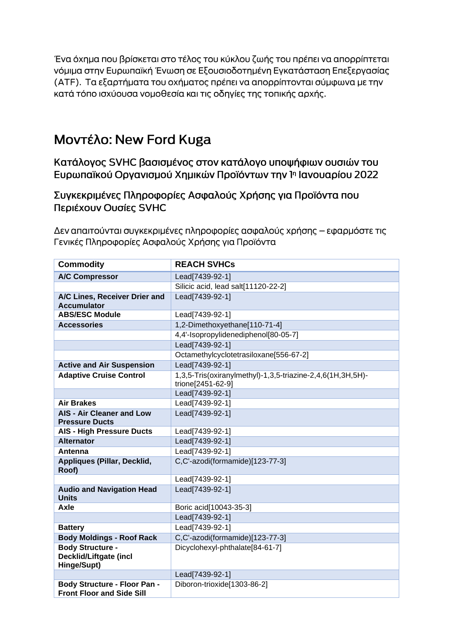Ένα όχημα που βρίσκεται στο τέλος του κύκλου ζωής του πρέπει να απορρίπτεται νόμιμα στην Ευρωπαϊκή Ένωση σε Εξουσιοδοτημένη Εγκατάσταση Επεξεργασίας (ΑΤΕ). Τα εξαρτήματα του οχήματος πρέπει να απορρίπτονται σύμφωνα με την κατά τόπο ισχύουσα νομοθεσία και τις οδηγίες της τοπικής αρχής.

# Μοντέλο: New Ford Kuga

Κατάλογος SVHC βασισμένος στον κατάλογο υποψήφιων ουσιών του Ευρωπαϊκού Οργανισμού Χημικών Προϊόντων την 1η Ιανουαρίου 2022

Συγκεκριμένες Πληροφορίες Ασφαλούς Χρήσης για Προϊόντα που Περιέχουν Ουσίες SVHC

Δεν απαιτούνται συγκεκριμένες πληροφορίες ασφαλούς χρήσης – εφαρμόστε τις Γενικές Πληροφορίες Ασφαλούς Χρήσης για Προϊόντα

| <b>Commodity</b>                                                        | <b>REACH SVHCs</b>                                                              |
|-------------------------------------------------------------------------|---------------------------------------------------------------------------------|
| <b>A/C Compressor</b>                                                   | Lead[7439-92-1]                                                                 |
|                                                                         | Silicic acid, lead salt[11120-22-2]                                             |
| A/C Lines, Receiver Drier and<br><b>Accumulator</b>                     | Lead[7439-92-1]                                                                 |
| <b>ABS/ESC Module</b>                                                   | Lead[7439-92-1]                                                                 |
| <b>Accessories</b>                                                      | 1,2-Dimethoxyethane[110-71-4]                                                   |
|                                                                         | 4,4'-Isopropylidenediphenol[80-05-7]                                            |
|                                                                         | Lead[7439-92-1]                                                                 |
|                                                                         | Octamethylcyclotetrasiloxane[556-67-2]                                          |
| <b>Active and Air Suspension</b>                                        | Lead[7439-92-1]                                                                 |
| <b>Adaptive Cruise Control</b>                                          | 1,3,5-Tris(oxiranylmethyl)-1,3,5-triazine-2,4,6(1H,3H,5H)-<br>trione[2451-62-9] |
|                                                                         | Lead[7439-92-1]                                                                 |
| <b>Air Brakes</b>                                                       | Lead[7439-92-1]                                                                 |
| <b>AIS - Air Cleaner and Low</b><br><b>Pressure Ducts</b>               | Lead[7439-92-1]                                                                 |
| <b>AIS - High Pressure Ducts</b>                                        | Lead[7439-92-1]                                                                 |
| <b>Alternator</b>                                                       | Lead[7439-92-1]                                                                 |
| Antenna                                                                 | Lead[7439-92-1]                                                                 |
| Appliques (Pillar, Decklid,<br>Roof)                                    | C,C'-azodi(formamide)[123-77-3]                                                 |
|                                                                         | Lead[7439-92-1]                                                                 |
| <b>Audio and Navigation Head</b><br><b>Units</b>                        | Lead[7439-92-1]                                                                 |
| Axle                                                                    | Boric acid[10043-35-3]                                                          |
|                                                                         | Lead[7439-92-1]                                                                 |
| <b>Battery</b>                                                          | Lead[7439-92-1]                                                                 |
| <b>Body Moldings - Roof Rack</b>                                        | C,C'-azodi(formamide)[123-77-3]                                                 |
| <b>Body Structure -</b><br><b>Decklid/Liftgate (incl</b><br>Hinge/Supt) | Dicyclohexyl-phthalate[84-61-7]                                                 |
|                                                                         | Lead[7439-92-1]                                                                 |
| <b>Body Structure - Floor Pan -</b><br><b>Front Floor and Side Sill</b> | Diboron-trioxide[1303-86-2]                                                     |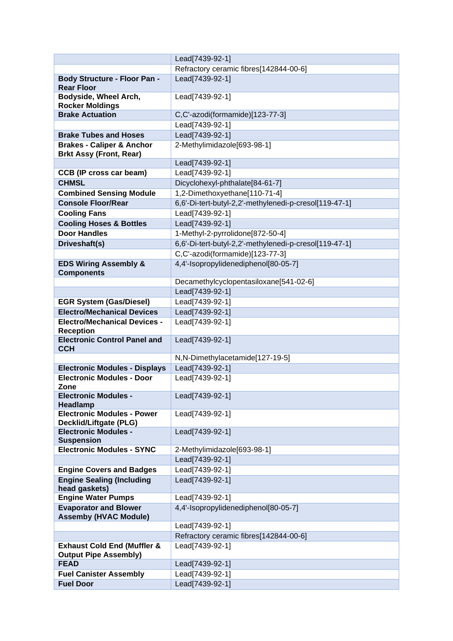|                                                                        | Lead[7439-92-1]                                        |
|------------------------------------------------------------------------|--------------------------------------------------------|
|                                                                        | Refractory ceramic fibres[142844-00-6]                 |
| <b>Body Structure - Floor Pan -</b><br><b>Rear Floor</b>               | Lead[7439-92-1]                                        |
| Bodyside, Wheel Arch,<br><b>Rocker Moldings</b>                        | Lead[7439-92-1]                                        |
| <b>Brake Actuation</b>                                                 | C,C'-azodi(formamide)[123-77-3]                        |
|                                                                        | Lead[7439-92-1]                                        |
| <b>Brake Tubes and Hoses</b>                                           | Lead[7439-92-1]                                        |
| <b>Brakes - Caliper &amp; Anchor</b><br><b>Brkt Assy (Front, Rear)</b> | 2-Methylimidazole[693-98-1]                            |
|                                                                        | Lead[7439-92-1]                                        |
| <b>CCB (IP cross car beam)</b>                                         | Lead[7439-92-1]                                        |
| <b>CHMSL</b>                                                           | Dicyclohexyl-phthalate[84-61-7]                        |
| <b>Combined Sensing Module</b>                                         | 1,2-Dimethoxyethane[110-71-4]                          |
| <b>Console Floor/Rear</b>                                              | 6,6'-Di-tert-butyl-2,2'-methylenedi-p-cresol[119-47-1] |
| <b>Cooling Fans</b>                                                    | Lead[7439-92-1]                                        |
| <b>Cooling Hoses &amp; Bottles</b>                                     | Lead[7439-92-1]                                        |
| <b>Door Handles</b>                                                    | 1-Methyl-2-pyrrolidone[872-50-4]                       |
| Driveshaft(s)                                                          | 6,6'-Di-tert-butyl-2,2'-methylenedi-p-cresol[119-47-1] |
|                                                                        | C,C'-azodi(formamide)[123-77-3]                        |
| <b>EDS Wiring Assembly &amp;</b><br><b>Components</b>                  | 4,4'-Isopropylidenediphenol[80-05-7]                   |
|                                                                        | Decamethylcyclopentasiloxane[541-02-6]                 |
|                                                                        | Lead[7439-92-1]                                        |
| <b>EGR System (Gas/Diesel)</b>                                         | Lead[7439-92-1]                                        |
| <b>Electro/Mechanical Devices</b>                                      | Lead[7439-92-1]                                        |
| <b>Electro/Mechanical Devices -</b><br><b>Reception</b>                | Lead[7439-92-1]                                        |
| <b>Electronic Control Panel and</b><br><b>CCH</b>                      | Lead[7439-92-1]                                        |
|                                                                        | N,N-Dimethylacetamide[127-19-5]                        |
| <b>Electronic Modules - Displays</b>                                   | Lead[7439-92-1]                                        |
| <b>Electronic Modules - Door</b><br>Zone                               | Lead[7439-92-1]                                        |
| <b>Electronic Modules -</b><br><b>Headlamp</b>                         | Lead[7439-92-1]                                        |
| <b>Electronic Modules - Power</b><br>Decklid/Liftgate (PLG)            | Lead[7439-92-1]                                        |
| <b>Electronic Modules -</b><br><b>Suspension</b>                       | Lead[7439-92-1]                                        |
| <b>Electronic Modules - SYNC</b>                                       | 2-Methylimidazole[693-98-1]                            |
|                                                                        | Lead[7439-92-1]                                        |
| <b>Engine Covers and Badges</b>                                        | Lead[7439-92-1]                                        |
| <b>Engine Sealing (Including</b><br>head gaskets)                      | Lead[7439-92-1]                                        |
| <b>Engine Water Pumps</b>                                              | Lead[7439-92-1]                                        |
| <b>Evaporator and Blower</b><br><b>Assemby (HVAC Module)</b>           | 4,4'-Isopropylidenediphenol[80-05-7]                   |
|                                                                        | Lead[7439-92-1]                                        |
|                                                                        | Refractory ceramic fibres[142844-00-6]                 |
| <b>Exhaust Cold End (Muffler &amp;</b>                                 | Lead[7439-92-1]                                        |
| <b>Output Pipe Assembly)</b><br><b>FEAD</b>                            |                                                        |
| <b>Fuel Canister Assembly</b>                                          | Lead[7439-92-1]<br>Lead[7439-92-1]                     |
| <b>Fuel Door</b>                                                       | Lead[7439-92-1]                                        |
|                                                                        |                                                        |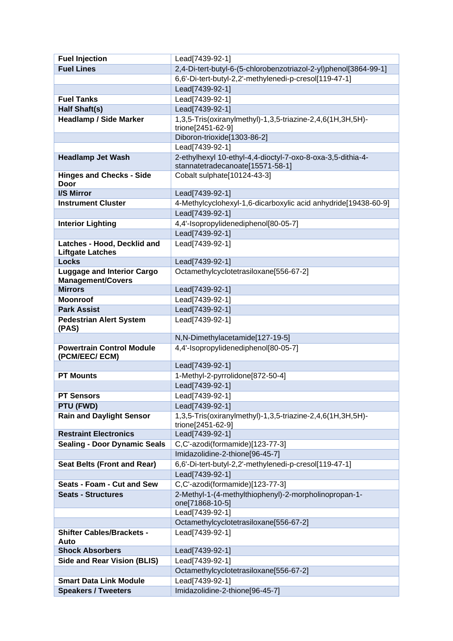| <b>Fuel Injection</b>                                  | Lead[7439-92-1]                                                                                 |
|--------------------------------------------------------|-------------------------------------------------------------------------------------------------|
| <b>Fuel Lines</b>                                      | 2,4-Di-tert-butyl-6-(5-chlorobenzotriazol-2-yl)phenol[3864-99-1]                                |
|                                                        | 6,6'-Di-tert-butyl-2,2'-methylenedi-p-cresol[119-47-1]                                          |
|                                                        | Lead[7439-92-1]                                                                                 |
| <b>Fuel Tanks</b>                                      | Lead[7439-92-1]                                                                                 |
| Half Shaft(s)                                          | Lead[7439-92-1]                                                                                 |
| <b>Headlamp / Side Marker</b>                          | 1,3,5-Tris(oxiranylmethyl)-1,3,5-triazine-2,4,6(1H,3H,5H)-                                      |
|                                                        | trione[2451-62-9]                                                                               |
|                                                        | Diboron-trioxide[1303-86-2]                                                                     |
|                                                        | Lead[7439-92-1]                                                                                 |
| <b>Headlamp Jet Wash</b>                               | 2-ethylhexyl 10-ethyl-4,4-dioctyl-7-oxo-8-oxa-3,5-dithia-4-<br>stannatetradecanoate[15571-58-1] |
| <b>Hinges and Checks - Side</b><br>Door                | Cobalt sulphate[10124-43-3]                                                                     |
| I/S Mirror                                             | Lead[7439-92-1]                                                                                 |
| <b>Instrument Cluster</b>                              | 4-Methylcyclohexyl-1,6-dicarboxylic acid anhydride[19438-60-9]                                  |
|                                                        | Lead[7439-92-1]                                                                                 |
| <b>Interior Lighting</b>                               | 4,4'-Isopropylidenediphenol[80-05-7]                                                            |
|                                                        | Lead[7439-92-1]                                                                                 |
| Latches - Hood, Decklid and<br><b>Liftgate Latches</b> | Lead[7439-92-1]                                                                                 |
| <b>Locks</b>                                           | Lead[7439-92-1]                                                                                 |
| <b>Luggage and Interior Cargo</b>                      | Octamethylcyclotetrasiloxane[556-67-2]                                                          |
| <b>Management/Covers</b>                               |                                                                                                 |
| <b>Mirrors</b>                                         | Lead[7439-92-1]                                                                                 |
| <b>Moonroof</b>                                        | Lead[7439-92-1]                                                                                 |
| <b>Park Assist</b>                                     | Lead[7439-92-1]                                                                                 |
| <b>Pedestrian Alert System</b><br>(PAS)                | Lead[7439-92-1]                                                                                 |
|                                                        | N,N-Dimethylacetamide[127-19-5]                                                                 |
| <b>Powertrain Control Module</b><br>(PCM/EEC/ ECM)     | 4,4'-Isopropylidenediphenol[80-05-7]                                                            |
|                                                        | Lead[7439-92-1]                                                                                 |
| <b>PT Mounts</b>                                       | 1-Methyl-2-pyrrolidone[872-50-4]                                                                |
|                                                        | Lead[7439-92-1]                                                                                 |
| <b>PT Sensors</b>                                      | Lead[7439-92-1]                                                                                 |
| PTU (FWD)                                              | Lead[7439-92-1]                                                                                 |
| <b>Rain and Daylight Sensor</b>                        | 1,3,5-Tris(oxiranylmethyl)-1,3,5-triazine-2,4,6(1H,3H,5H)-<br>trione[2451-62-9]                 |
| <b>Restraint Electronics</b>                           | Lead[7439-92-1]                                                                                 |
| <b>Sealing - Door Dynamic Seals</b>                    | C,C'-azodi(formamide)[123-77-3]                                                                 |
|                                                        | Imidazolidine-2-thione[96-45-7]                                                                 |
| <b>Seat Belts (Front and Rear)</b>                     | 6,6'-Di-tert-butyl-2,2'-methylenedi-p-cresol[119-47-1]                                          |
|                                                        | Lead[7439-92-1]                                                                                 |
| Seats - Foam - Cut and Sew                             | C,C'-azodi(formamide)[123-77-3]                                                                 |
| <b>Seats - Structures</b>                              | 2-Methyl-1-(4-methylthiophenyl)-2-morpholinopropan-1-                                           |
|                                                        | one[71868-10-5]                                                                                 |
|                                                        | Lead[7439-92-1]                                                                                 |
|                                                        | Octamethylcyclotetrasiloxane[556-67-2]                                                          |
| <b>Shifter Cables/Brackets -</b><br>Auto               | Lead[7439-92-1]                                                                                 |
| <b>Shock Absorbers</b>                                 | Lead[7439-92-1]                                                                                 |
| <b>Side and Rear Vision (BLIS)</b>                     | Lead[7439-92-1]                                                                                 |
|                                                        | Octamethylcyclotetrasiloxane[556-67-2]                                                          |
| <b>Smart Data Link Module</b>                          | Lead[7439-92-1]                                                                                 |
| <b>Speakers / Tweeters</b>                             | Imidazolidine-2-thione[96-45-7]                                                                 |